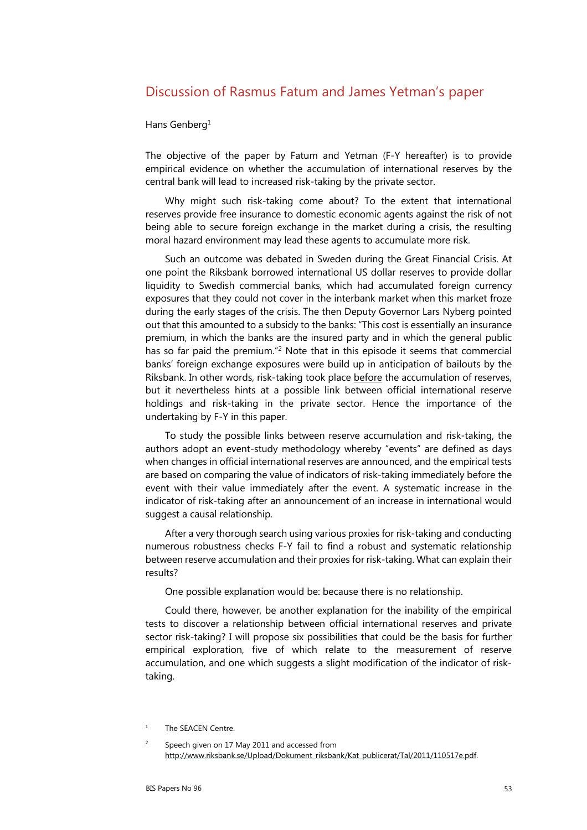# Discussion of Rasmus Fatum and James Yetman's paper

#### Hans Genberg<sup>1</sup>

The objective of the paper by Fatum and Yetman (F-Y hereafter) is to provide empirical evidence on whether the accumulation of international reserves by the central bank will lead to increased risk-taking by the private sector.

Why might such risk-taking come about? To the extent that international reserves provide free insurance to domestic economic agents against the risk of not being able to secure foreign exchange in the market during a crisis, the resulting moral hazard environment may lead these agents to accumulate more risk.

Such an outcome was debated in Sweden during the Great Financial Crisis. At one point the Riksbank borrowed international US dollar reserves to provide dollar liquidity to Swedish commercial banks, which had accumulated foreign currency exposures that they could not cover in the interbank market when this market froze during the early stages of the crisis. The then Deputy Governor Lars Nyberg pointed out that this amounted to a subsidy to the banks: "This cost is essentially an insurance premium, in which the banks are the insured party and in which the general public has so far paid the premium."<sup>2</sup> Note that in this episode it seems that commercial banks' foreign exchange exposures were build up in anticipation of bailouts by the Riksbank. In other words, risk-taking took place before the accumulation of reserves, but it nevertheless hints at a possible link between official international reserve holdings and risk-taking in the private sector. Hence the importance of the undertaking by F-Y in this paper.

To study the possible links between reserve accumulation and risk-taking, the authors adopt an event-study methodology whereby "events" are defined as days when changes in official international reserves are announced, and the empirical tests are based on comparing the value of indicators of risk-taking immediately before the event with their value immediately after the event. A systematic increase in the indicator of risk-taking after an announcement of an increase in international would suggest a causal relationship.

After a very thorough search using various proxies for risk-taking and conducting numerous robustness checks F-Y fail to find a robust and systematic relationship between reserve accumulation and their proxies for risk-taking. What can explain their results?

One possible explanation would be: because there is no relationship.

Could there, however, be another explanation for the inability of the empirical tests to discover a relationship between official international reserves and private sector risk-taking? I will propose six possibilities that could be the basis for further empirical exploration, five of which relate to the measurement of reserve accumulation, and one which suggests a slight modification of the indicator of risktaking.

<sup>1</sup> The SEACEN Centre.

 $\overline{2}$  Speech given on 17 May 2011 and accessed from http://www.riksbank.se/Upload/Dokument\_riksbank/Kat\_publicerat/Tal/2011/110517e.pdf.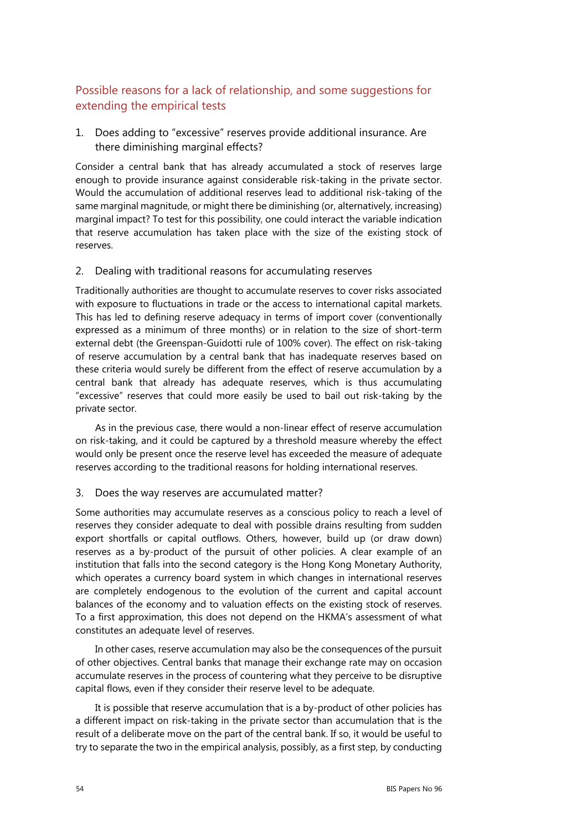# Possible reasons for a lack of relationship, and some suggestions for extending the empirical tests

1. Does adding to "excessive" reserves provide additional insurance. Are there diminishing marginal effects?

Consider a central bank that has already accumulated a stock of reserves large enough to provide insurance against considerable risk-taking in the private sector. Would the accumulation of additional reserves lead to additional risk-taking of the same marginal magnitude, or might there be diminishing (or, alternatively, increasing) marginal impact? To test for this possibility, one could interact the variable indication that reserve accumulation has taken place with the size of the existing stock of reserves.

#### 2. Dealing with traditional reasons for accumulating reserves

Traditionally authorities are thought to accumulate reserves to cover risks associated with exposure to fluctuations in trade or the access to international capital markets. This has led to defining reserve adequacy in terms of import cover (conventionally expressed as a minimum of three months) or in relation to the size of short-term external debt (the Greenspan-Guidotti rule of 100% cover). The effect on risk-taking of reserve accumulation by a central bank that has inadequate reserves based on these criteria would surely be different from the effect of reserve accumulation by a central bank that already has adequate reserves, which is thus accumulating "excessive" reserves that could more easily be used to bail out risk-taking by the private sector.

As in the previous case, there would a non-linear effect of reserve accumulation on risk-taking, and it could be captured by a threshold measure whereby the effect would only be present once the reserve level has exceeded the measure of adequate reserves according to the traditional reasons for holding international reserves.

### 3. Does the way reserves are accumulated matter?

Some authorities may accumulate reserves as a conscious policy to reach a level of reserves they consider adequate to deal with possible drains resulting from sudden export shortfalls or capital outflows. Others, however, build up (or draw down) reserves as a by-product of the pursuit of other policies. A clear example of an institution that falls into the second category is the Hong Kong Monetary Authority, which operates a currency board system in which changes in international reserves are completely endogenous to the evolution of the current and capital account balances of the economy and to valuation effects on the existing stock of reserves. To a first approximation, this does not depend on the HKMA's assessment of what constitutes an adequate level of reserves.

In other cases, reserve accumulation may also be the consequences of the pursuit of other objectives. Central banks that manage their exchange rate may on occasion accumulate reserves in the process of countering what they perceive to be disruptive capital flows, even if they consider their reserve level to be adequate.

It is possible that reserve accumulation that is a by-product of other policies has a different impact on risk-taking in the private sector than accumulation that is the result of a deliberate move on the part of the central bank. If so, it would be useful to try to separate the two in the empirical analysis, possibly, as a first step, by conducting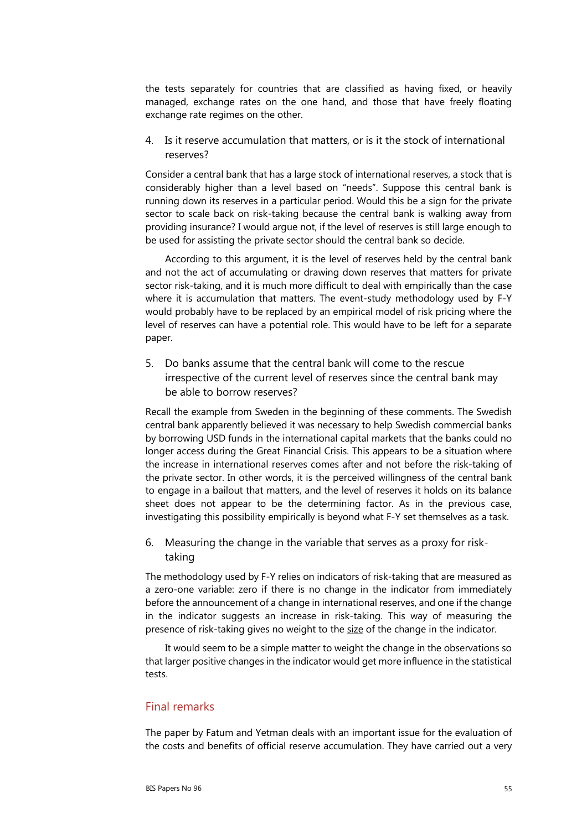the tests separately for countries that are classified as having fixed, or heavily managed, exchange rates on the one hand, and those that have freely floating exchange rate regimes on the other.

4. Is it reserve accumulation that matters, or is it the stock of international reserves?

Consider a central bank that has a large stock of international reserves, a stock that is considerably higher than a level based on "needs". Suppose this central bank is running down its reserves in a particular period. Would this be a sign for the private sector to scale back on risk-taking because the central bank is walking away from providing insurance? I would argue not, if the level of reserves is still large enough to be used for assisting the private sector should the central bank so decide.

According to this argument, it is the level of reserves held by the central bank and not the act of accumulating or drawing down reserves that matters for private sector risk-taking, and it is much more difficult to deal with empirically than the case where it is accumulation that matters. The event-study methodology used by F-Y would probably have to be replaced by an empirical model of risk pricing where the level of reserves can have a potential role. This would have to be left for a separate paper.

5. Do banks assume that the central bank will come to the rescue irrespective of the current level of reserves since the central bank may be able to borrow reserves?

Recall the example from Sweden in the beginning of these comments. The Swedish central bank apparently believed it was necessary to help Swedish commercial banks by borrowing USD funds in the international capital markets that the banks could no longer access during the Great Financial Crisis. This appears to be a situation where the increase in international reserves comes after and not before the risk-taking of the private sector. In other words, it is the perceived willingness of the central bank to engage in a bailout that matters, and the level of reserves it holds on its balance sheet does not appear to be the determining factor. As in the previous case, investigating this possibility empirically is beyond what F-Y set themselves as a task.

6. Measuring the change in the variable that serves as a proxy for risktaking

The methodology used by F-Y relies on indicators of risk-taking that are measured as a zero-one variable: zero if there is no change in the indicator from immediately before the announcement of a change in international reserves, and one if the change in the indicator suggests an increase in risk-taking. This way of measuring the presence of risk-taking gives no weight to the size of the change in the indicator.

It would seem to be a simple matter to weight the change in the observations so that larger positive changes in the indicator would get more influence in the statistical tests.

### Final remarks

The paper by Fatum and Yetman deals with an important issue for the evaluation of the costs and benefits of official reserve accumulation. They have carried out a very